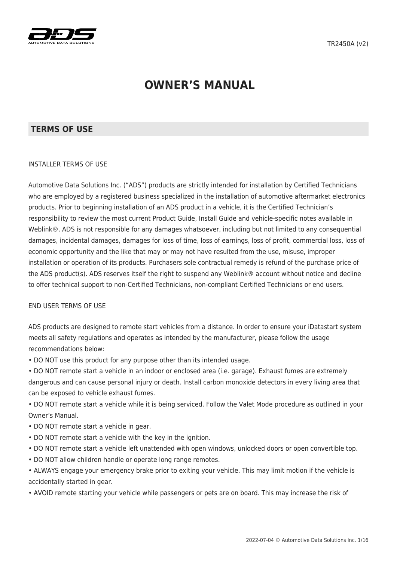

# **OWNER'S MANUAL**

#### **TERMS OF USE**

#### INSTALLER TERMS OF USE

Automotive Data Solutions Inc. ("ADS") products are strictly intended for installation by Certified Technicians who are employed by a registered business specialized in the installation of automotive aftermarket electronics products. Prior to beginning installation of an ADS product in a vehicle, it is the Certified Technician's responsibility to review the most current Product Guide, Install Guide and vehicle-specific notes available in Weblink®. ADS is not responsible for any damages whatsoever, including but not limited to any consequential damages, incidental damages, damages for loss of time, loss of earnings, loss of profit, commercial loss, loss of economic opportunity and the like that may or may not have resulted from the use, misuse, improper installation or operation of its products. Purchasers sole contractual remedy is refund of the purchase price of the ADS product(s). ADS reserves itself the right to suspend any Weblink® account without notice and decline to offer technical support to non-Certified Technicians, non-compliant Certified Technicians or end users.

#### END USER TERMS OF USE

ADS products are designed to remote start vehicles from a distance. In order to ensure your iDatastart system meets all safety regulations and operates as intended by the manufacturer, please follow the usage recommendations below:

• DO NOT use this product for any purpose other than its intended usage.

• DO NOT remote start a vehicle in an indoor or enclosed area (i.e. garage). Exhaust fumes are extremely dangerous and can cause personal injury or death. Install carbon monoxide detectors in every living area that can be exposed to vehicle exhaust fumes.

• DO NOT remote start a vehicle while it is being serviced. Follow the Valet Mode procedure as outlined in your Owner's Manual.

- DO NOT remote start a vehicle in gear.
- DO NOT remote start a vehicle with the key in the ignition.
- DO NOT remote start a vehicle left unattended with open windows, unlocked doors or open convertible top.
- DO NOT allow children handle or operate long range remotes.

• ALWAYS engage your emergency brake prior to exiting your vehicle. This may limit motion if the vehicle is accidentally started in gear.

• AVOID remote starting your vehicle while passengers or pets are on board. This may increase the risk of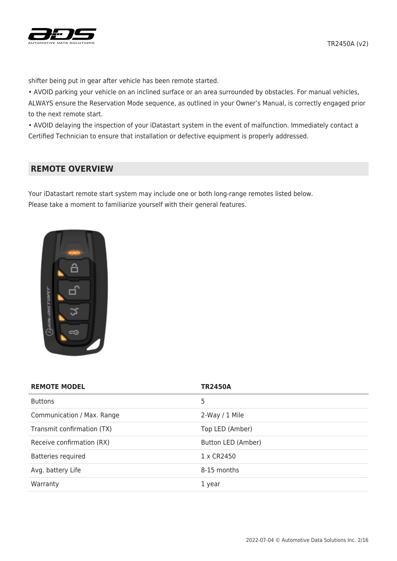

shifter being put in gear after vehicle has been remote started.

• AVOID parking your vehicle on an inclined surface or an area surrounded by obstacles. For manual vehicles, ALWAYS ensure the Reservation Mode sequence, as outlined in your Owner's Manual, is correctly engaged prior to the next remote start.

• AVOID delaying the inspection of your iDatastart system in the event of malfunction. Immediately contact a Certified Technician to ensure that installation or defective equipment is properly addressed.

#### **REMOTE OVERVIEW**

Your iDatastart remote start system may include one or both long-range remotes listed below. Please take a moment to familiarize yourself with their general features.



| <b>REMOTE MODEL</b>        | <b>TR2450A</b>     |
|----------------------------|--------------------|
| <b>Buttons</b>             | 5                  |
| Communication / Max. Range | $2-Way / 1$ Mile   |
| Transmit confirmation (TX) | Top LED (Amber)    |
| Receive confirmation (RX)  | Button LED (Amber) |
| <b>Batteries required</b>  | 1 x CR2450         |
| Avg. battery Life          | 8-15 months        |
| Warranty                   | 1 year             |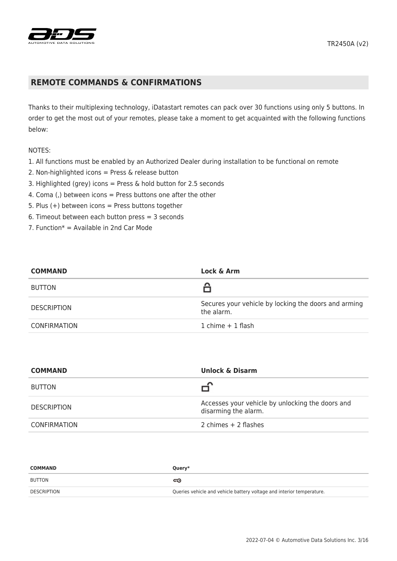

#### **REMOTE COMMANDS & CONFIRMATIONS**

Thanks to their multiplexing technology, iDatastart remotes can pack over 30 functions using only 5 buttons. In order to get the most out of your remotes, please take a moment to get acquainted with the following functions below:

#### NOTES:

- 1. All functions must be enabled by an Authorized Dealer during installation to be functional on remote
- 2. Non-highlighted icons = Press & release button
- 3. Highlighted (grey) icons = Press & hold button for 2.5 seconds
- 4. Coma (,) between icons = Press buttons one after the other
- 5. Plus  $(+)$  between icons = Press buttons together
- 6. Timeout between each button press = 3 seconds
- 7. Function $* =$  Available in 2nd Car Mode

| <b>COMMAND</b>      | Lock & Arm                                                         |
|---------------------|--------------------------------------------------------------------|
| <b>BUTTON</b>       |                                                                    |
| <b>DESCRIPTION</b>  | Secures your vehicle by locking the doors and arming<br>the alarm. |
| <b>CONFIRMATION</b> | 1 chime $+$ 1 flash                                                |

| <b>COMMAND</b>      | <b>Unlock &amp; Disarm</b>                                               |
|---------------------|--------------------------------------------------------------------------|
| <b>BUTTON</b>       | ∽                                                                        |
| <b>DESCRIPTION</b>  | Accesses your vehicle by unlocking the doors and<br>disarming the alarm. |
| <b>CONFIRMATION</b> | 2 chimes $+$ 2 flashes                                                   |

| <b>COMMAND</b> | Query*                                                                |
|----------------|-----------------------------------------------------------------------|
| BUTTON         | ದಾ                                                                    |
| DESCRIPTION    | Queries vehicle and vehicle battery voltage and interior temperature. |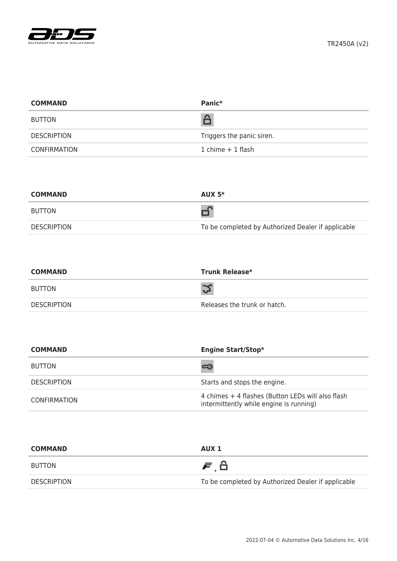

| <b>COMMAND</b> | Panic <sup>*</sup>        |
|----------------|---------------------------|
| <b>BUTTON</b>  | â                         |
| DESCRIPTION    | Triggers the panic siren. |
| CONFIRMATION   | $1$ chime $+1$ flash      |

| <b>COMMAND</b>     | $AUX 5*$                                           |
|--------------------|----------------------------------------------------|
| <b>BUTTON</b>      |                                                    |
| <b>DESCRIPTION</b> | To be completed by Authorized Dealer if applicable |

| <b>COMMAND</b> | <b>Trunk Release*</b>        |
|----------------|------------------------------|
| BUTTON         |                              |
| DESCRIPTION    | Releases the trunk or hatch. |

| <b>COMMAND</b>      | <b>Engine Start/Stop*</b>                                                                    |
|---------------------|----------------------------------------------------------------------------------------------|
| <b>BUTTON</b>       | ದಾ                                                                                           |
| <b>DESCRIPTION</b>  | Starts and stops the engine.                                                                 |
| <b>CONFIRMATION</b> | 4 chimes + 4 flashes (Button LEDs will also flash<br>intermittently while engine is running) |

| <b>COMMAND</b> | AUX 1                                              |
|----------------|----------------------------------------------------|
| BUTTON         | 声台                                                 |
| DESCRIPTION    | To be completed by Authorized Dealer if applicable |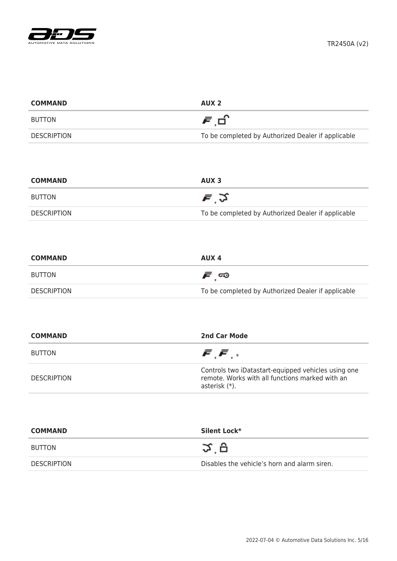

| <b>COMMAND</b>     | AUX <sub>2</sub>                                   |
|--------------------|----------------------------------------------------|
| BUTTON             | 月日                                                 |
| <b>DESCRIPTION</b> | To be completed by Authorized Dealer if applicable |

| <b>COMMAND</b>     | AUX <sub>3</sub>                                   |
|--------------------|----------------------------------------------------|
| BUTTON             | $\bar{F}$ , $2$                                    |
| <b>DESCRIPTION</b> | To be completed by Authorized Dealer if applicable |

| <b>COMMAND</b> | AUX 4                                              |
|----------------|----------------------------------------------------|
| BUTTON         | ౯్ు                                                |
| DESCRIPTION    | To be completed by Authorized Dealer if applicable |

| <b>COMMAND</b>     | 2nd Car Mode                                                                                                            |
|--------------------|-------------------------------------------------------------------------------------------------------------------------|
| <b>BUTTON</b>      | $\bar{F}$ , $\bar{F}$ , $*$                                                                                             |
| <b>DESCRIPTION</b> | Controls two iDatastart-equipped vehicles using one<br>remote. Works with all functions marked with an<br>asterisk (*). |

| <b>COMMAND</b>     | Silent Lock*                                 |
|--------------------|----------------------------------------------|
| <b>BUTTON</b>      | $\propto$ A                                  |
| <b>DESCRIPTION</b> | Disables the vehicle's horn and alarm siren. |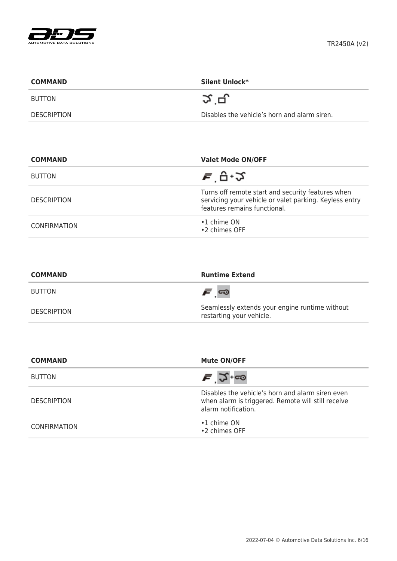

| <b>COMMAND</b>     | Silent Unlock*                               |
|--------------------|----------------------------------------------|
| BUTTON             | 그그 민.                                        |
| <b>DESCRIPTION</b> | Disables the vehicle's horn and alarm siren. |

| <b>COMMAND</b>      | <b>Valet Mode ON/OFF</b>                                                                                                                    |
|---------------------|---------------------------------------------------------------------------------------------------------------------------------------------|
| <b>BUTTON</b>       | ਵ ਦੇ ∙⊅                                                                                                                                     |
| <b>DESCRIPTION</b>  | Turns off remote start and security features when<br>servicing your vehicle or valet parking. Keyless entry<br>features remains functional. |
| <b>CONFIRMATION</b> | $\cdot$ 1 chime ON<br>•2 chimes OFF                                                                                                         |

| <b>COMMAND</b>     | <b>Runtime Extend</b>                                                      |
|--------------------|----------------------------------------------------------------------------|
| BUTTON             | <i>೯</i> ∞                                                                 |
| <b>DESCRIPTION</b> | Seamlessly extends your engine runtime without<br>restarting your vehicle. |

| <b>COMMAND</b>      | <b>Mute ON/OFF</b>                                                                                                            |
|---------------------|-------------------------------------------------------------------------------------------------------------------------------|
| <b>BUTTON</b>       | $\bar{F}$ $\Im$ +co                                                                                                           |
| <b>DESCRIPTION</b>  | Disables the vehicle's horn and alarm siren even<br>when alarm is triggered. Remote will still receive<br>alarm notification. |
| <b>CONFIRMATION</b> | $\cdot$ 1 chime ON<br>•2 chimes OFF                                                                                           |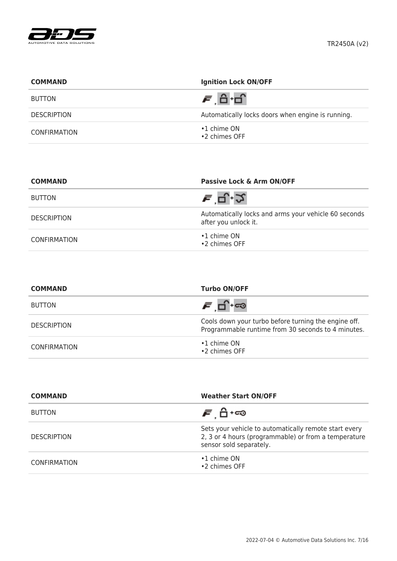

| <b>COMMAND</b>     | <b>Ignition Lock ON/OFF</b>                       |
|--------------------|---------------------------------------------------|
| <b>BUTTON</b>      |                                                   |
| <b>DESCRIPTION</b> | Automatically locks doors when engine is running. |
| CONFIRMATION       | $\cdot$ 1 chime ON<br>•2 chimes OFF               |

| <b>COMMAND</b>     | Passive Lock & Arm ON/OFF                                                    |
|--------------------|------------------------------------------------------------------------------|
| <b>BUTTON</b>      | ਵ '⊐੍.੭                                                                      |
| <b>DESCRIPTION</b> | Automatically locks and arms your vehicle 60 seconds<br>after you unlock it. |
| CONFIRMATION       | $\cdot$ 1 chime ON<br>•2 chimes OFF                                          |

| <b>COMMAND</b>      | <b>Turbo ON/OFF</b>                                                                                        |
|---------------------|------------------------------------------------------------------------------------------------------------|
| <b>BUTTON</b>       | சங்⊷                                                                                                       |
| <b>DESCRIPTION</b>  | Cools down your turbo before turning the engine off.<br>Programmable runtime from 30 seconds to 4 minutes. |
| <b>CONFIRMATION</b> | $\cdot$ 1 chime ON<br>•2 chimes OFF                                                                        |

| <b>COMMAND</b>      | <b>Weather Start ON/OFF</b>                                                                                                              |
|---------------------|------------------------------------------------------------------------------------------------------------------------------------------|
| <b>BUTTON</b>       | <i>ச</i> பி்+ை                                                                                                                           |
| <b>DESCRIPTION</b>  | Sets your vehicle to automatically remote start every<br>2, 3 or 4 hours (programmable) or from a temperature<br>sensor sold separately. |
| <b>CONFIRMATION</b> | $\cdot$ 1 chime ON<br>•2 chimes OFF                                                                                                      |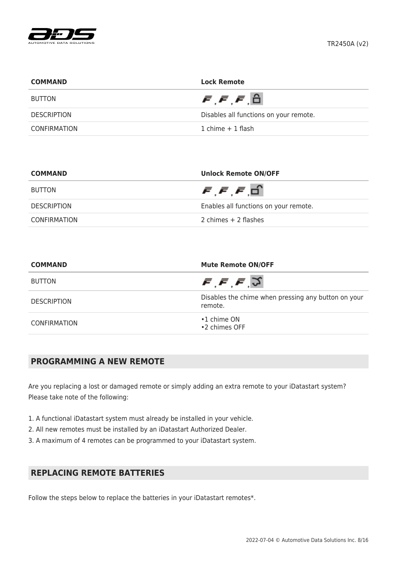

| <b>COMMAND</b>     | <b>Lock Remote</b>                      |
|--------------------|-----------------------------------------|
| <b>BUTTON</b>      | $\bar{F}, \bar{F}, \bar{F}, \bar{\Box}$ |
| <b>DESCRIPTION</b> | Disables all functions on your remote.  |
| CONFIRMATION       | 1 chime $+$ 1 flash                     |

| <b>COMMAND</b>     | <b>Unlock Remote ON/OFF</b>                      |
|--------------------|--------------------------------------------------|
| BUTTON             | $\bar{F}$ , $\bar{F}$ , $\bar{F}$ , $\bar{\Box}$ |
| <b>DESCRIPTION</b> | Enables all functions on your remote.            |
| CONFIRMATION       | 2 chimes + 2 flashes                             |

| <b>COMMAND</b>      | <b>Mute Remote ON/OFF</b><br>$\bar{F}, \bar{F}, \bar{F}, \bar{S}$ |  |
|---------------------|-------------------------------------------------------------------|--|
| <b>BUTTON</b>       |                                                                   |  |
| <b>DESCRIPTION</b>  | Disables the chime when pressing any button on your<br>remote.    |  |
| <b>CONFIRMATION</b> | $\cdot$ 1 chime ON<br>•2 chimes OFF                               |  |

# **PROGRAMMING A NEW REMOTE**

Are you replacing a lost or damaged remote or simply adding an extra remote to your iDatastart system? Please take note of the following:

- 1. A functional iDatastart system must already be installed in your vehicle.
- 2. All new remotes must be installed by an iDatastart Authorized Dealer.
- 3. A maximum of 4 remotes can be programmed to your iDatastart system.

# **REPLACING REMOTE BATTERIES**

Follow the steps below to replace the batteries in your iDatastart remotes\*.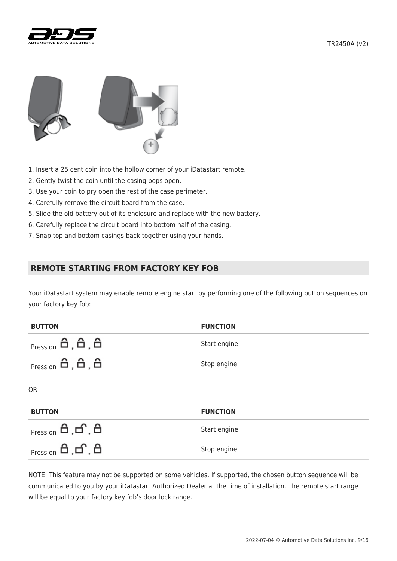



- 1. Insert a 25 cent coin into the hollow corner of your iDatastart remote.
- 2. Gently twist the coin until the casing pops open.
- 3. Use your coin to pry open the rest of the case perimeter.
- 4. Carefully remove the circuit board from the case.
- 5. Slide the old battery out of its enclosure and replace with the new battery.
- 6. Carefully replace the circuit board into bottom half of the casing.
- 7. Snap top and bottom casings back together using your hands.

## **REMOTE STARTING FROM FACTORY KEY FOB**

Your iDatastart system may enable remote engine start by performing one of the following button sequences on your factory key fob:

| <b>BUTTON</b>                     | <b>FUNCTION</b> |
|-----------------------------------|-----------------|
| $Press on \theta, \theta, \theta$ | Start engine    |
| $Press on \theta, \theta, \theta$ | Stop engine     |
| <b>OR</b>                         |                 |
| <b>BUTTON</b>                     | <b>FUNCTION</b> |

| <sub>Press on</sub> 台, 白, 台    | Start engine |
|--------------------------------|--------------|
| <sub>Press on</sub> பி ,பி ,பி | Stop engine  |

NOTE: This feature may not be supported on some vehicles. If supported, the chosen button sequence will be communicated to you by your iDatastart Authorized Dealer at the time of installation. The remote start range will be equal to your factory key fob's door lock range.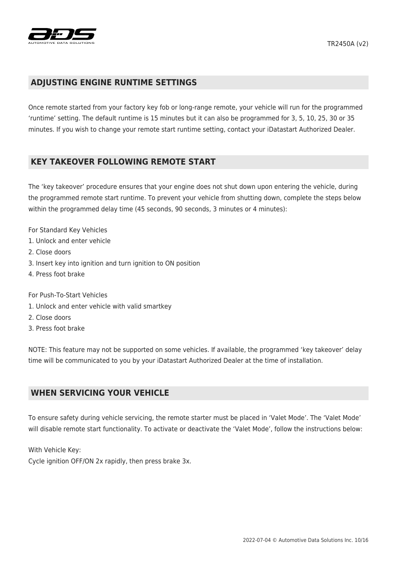

#### **ADJUSTING ENGINE RUNTIME SETTINGS**

Once remote started from your factory key fob or long-range remote, your vehicle will run for the programmed 'runtime' setting. The default runtime is 15 minutes but it can also be programmed for 3, 5, 10, 25, 30 or 35 minutes. If you wish to change your remote start runtime setting, contact your iDatastart Authorized Dealer.

#### **KEY TAKEOVER FOLLOWING REMOTE START**

The 'key takeover' procedure ensures that your engine does not shut down upon entering the vehicle, during the programmed remote start runtime. To prevent your vehicle from shutting down, complete the steps below within the programmed delay time (45 seconds, 90 seconds, 3 minutes or 4 minutes):

- For Standard Key Vehicles
- 1. Unlock and enter vehicle
- 2. Close doors
- 3. Insert key into ignition and turn ignition to ON position
- 4. Press foot brake

For Push-To-Start Vehicles

- 1. Unlock and enter vehicle with valid smartkey
- 2. Close doors
- 3. Press foot brake

NOTE: This feature may not be supported on some vehicles. If available, the programmed 'key takeover' delay time will be communicated to you by your iDatastart Authorized Dealer at the time of installation.

#### **WHEN SERVICING YOUR VEHICLE**

To ensure safety during vehicle servicing, the remote starter must be placed in 'Valet Mode'. The 'Valet Mode' will disable remote start functionality. To activate or deactivate the 'Valet Mode', follow the instructions below:

With Vehicle Key:

Cycle ignition OFF/ON 2x rapidly, then press brake 3x.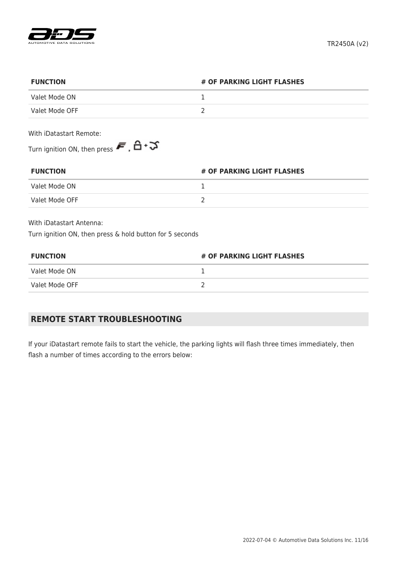

| <b>FUNCTION</b>                                                                                         | # OF PARKING LIGHT FLASHES |
|---------------------------------------------------------------------------------------------------------|----------------------------|
| Valet Mode ON                                                                                           |                            |
| Valet Mode OFF                                                                                          |                            |
| With iDatastart Remote:                                                                                 |                            |
| Turn ignition ON, then press $\blacktriangleright$ $\blacktriangleright$ $\triangle$ + $\triangleright$ |                            |

| <b>FUNCTION</b> | # OF PARKING LIGHT FLASHES |
|-----------------|----------------------------|
| Valet Mode ON   |                            |
| Valet Mode OFF  |                            |

With iDatastart Antenna:

Turn ignition ON, then press & hold button for 5 seconds

| <b>FUNCTION</b> | # OF PARKING LIGHT FLASHES |
|-----------------|----------------------------|
| Valet Mode ON   |                            |
| Valet Mode OFF  |                            |

# **REMOTE START TROUBLESHOOTING**

If your iDatastart remote fails to start the vehicle, the parking lights will flash three times immediately, then flash a number of times according to the errors below: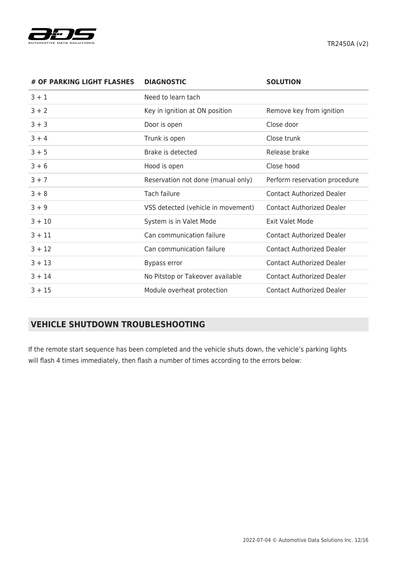

TR2450A (v2)

| # OF PARKING LIGHT FLASHES | <b>DIAGNOSTIC</b>                  | <b>SOLUTION</b>                  |
|----------------------------|------------------------------------|----------------------------------|
| $3 + 1$                    | Need to learn tach                 |                                  |
| $3 + 2$                    | Key in ignition at ON position     | Remove key from ignition         |
| $3 + 3$                    | Door is open                       | Close door                       |
| $3 + 4$                    | Trunk is open                      | Close trunk                      |
| $3 + 5$                    | Brake is detected                  | Release brake                    |
| $3 + 6$                    | Hood is open                       | Close hood                       |
| $3 + 7$                    | Reservation not done (manual only) | Perform reservation procedure    |
| $3 + 8$                    | Tach failure                       | <b>Contact Authorized Dealer</b> |
| $3 + 9$                    | VSS detected (vehicle in movement) | <b>Contact Authorized Dealer</b> |
| $3 + 10$                   | System is in Valet Mode            | <b>Exit Valet Mode</b>           |
| $3 + 11$                   | Can communication failure          | <b>Contact Authorized Dealer</b> |
| $3 + 12$                   | Can communication failure          | <b>Contact Authorized Dealer</b> |
| $3 + 13$                   | Bypass error                       | <b>Contact Authorized Dealer</b> |
| $3 + 14$                   | No Pitstop or Takeover available   | <b>Contact Authorized Dealer</b> |
| $3 + 15$                   | Module overheat protection         | <b>Contact Authorized Dealer</b> |

# **VEHICLE SHUTDOWN TROUBLESHOOTING**

If the remote start sequence has been completed and the vehicle shuts down, the vehicle's parking lights will flash 4 times immediately, then flash a number of times according to the errors below: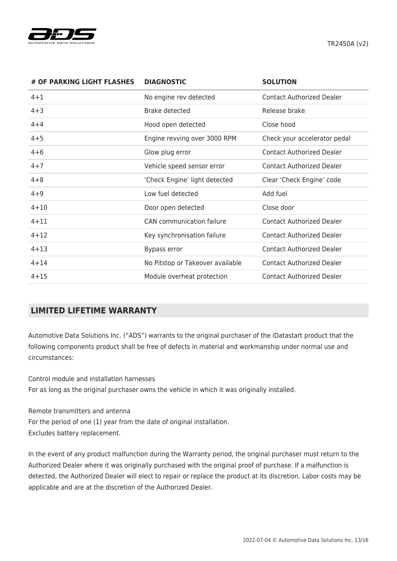

| # OF PARKING LIGHT FLASHES | <b>DIAGNOSTIC</b>                | <b>SOLUTION</b>                  |
|----------------------------|----------------------------------|----------------------------------|
| $4 + 1$                    | No engine rev detected           | <b>Contact Authorized Dealer</b> |
| $4 + 3$                    | Brake detected                   | Release brake                    |
| $4 + 4$                    | Hood open detected               | Close hood                       |
| $4 + 5$                    | Engine revving over 3000 RPM     | Check your accelerator pedal     |
| $4 + 6$                    | Glow plug error                  | <b>Contact Authorized Dealer</b> |
| $4 + 7$                    | Vehicle speed sensor error       | <b>Contact Authorized Dealer</b> |
| $4 + 8$                    | 'Check Engine' light detected    | Clear 'Check Engine' code        |
| $4 + 9$                    | Low fuel detected                | Add fuel                         |
| $4 + 10$                   | Door open detected               | Close door                       |
| $4 + 11$                   | CAN communication failure        | <b>Contact Authorized Dealer</b> |
| $4 + 12$                   | Key synchronisation failure      | <b>Contact Authorized Dealer</b> |
| $4 + 13$                   | Bypass error                     | <b>Contact Authorized Dealer</b> |
| $4 + 14$                   | No Pitstop or Takeover available | <b>Contact Authorized Dealer</b> |
| $4 + 15$                   | Module overheat protection       | <b>Contact Authorized Dealer</b> |

# **LIMITED LIFETIME WARRANTY**

Automotive Data Solutions Inc. ("ADS") warrants to the original purchaser of the iDatastart product that the following components product shall be free of defects in material and workmanship under normal use and circumstances:

Control module and installation harnesses For as long as the original purchaser owns the vehicle in which it was originally installed.

Remote transmitters and antenna For the period of one (1) year from the date of original installation. Excludes battery replacement.

In the event of any product malfunction during the Warranty period, the original purchaser must return to the Authorized Dealer where it was originally purchased with the original proof of purchase. If a malfunction is detected, the Authorized Dealer will elect to repair or replace the product at its discretion. Labor costs may be applicable and are at the discretion of the Authorized Dealer.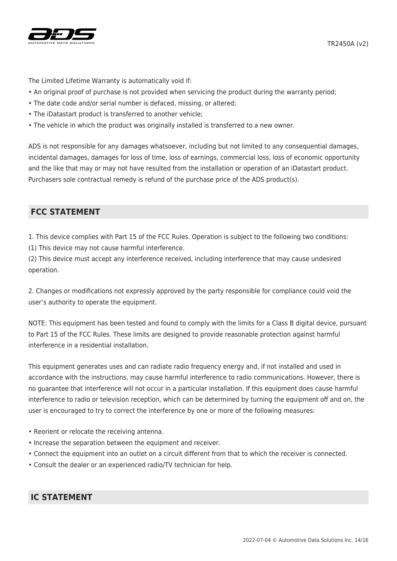

The Limited Lifetime Warranty is automatically void if:

- An original proof of purchase is not provided when servicing the product during the warranty period;
- The date code and/or serial number is defaced, missing, or altered;
- The iDatastart product is transferred to another vehicle;
- The vehicle in which the product was originally installed is transferred to a new owner.

ADS is not responsible for any damages whatsoever, including but not limited to any consequential damages, incidental damages, damages for loss of time, loss of earnings, commercial loss, loss of economic opportunity and the like that may or may not have resulted from the installation or operation of an iDatastart product. Purchasers sole contractual remedy is refund of the purchase price of the ADS product(s).

## **FCC STATEMENT**

1. This device complies with Part 15 of the FCC Rules. Operation is subject to the following two conditions:

(1) This device may not cause harmful interference.

(2) This device must accept any interference received, including interference that may cause undesired operation.

2. Changes or modifications not expressly approved by the party responsible for compliance could void the user's authority to operate the equipment.

NOTE: This equipment has been tested and found to comply with the limits for a Class B digital device, pursuant to Part 15 of the FCC Rules. These limits are designed to provide reasonable protection against harmful interference in a residential installation.

This equipment generates uses and can radiate radio frequency energy and, if not installed and used in accordance with the instructions, may cause harmful interference to radio communications. However, there is no guarantee that interference will not occur in a particular installation. If this equipment does cause harmful interference to radio or television reception, which can be determined by turning the equipment off and on, the user is encouraged to try to correct the interference by one or more of the following measures:

- Reorient or relocate the receiving antenna.
- Increase the separation between the equipment and receiver.
- Connect the equipment into an outlet on a circuit different from that to which the receiver is connected.
- Consult the dealer or an experienced radio/TV technician for help.

# **IC STATEMENT**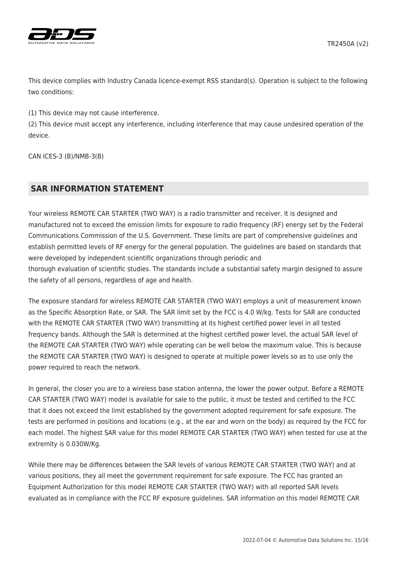



This device complies with Industry Canada licence-exempt RSS standard(s). Operation is subject to the following two conditions:

(1) This device may not cause interference.

(2) This device must accept any interference, including interference that may cause undesired operation of the device.

CAN ICES-3 (B)/NMB-3(B)

## **SAR INFORMATION STATEMENT**

Your wireless REMOTE CAR STARTER (TWO WAY) is a radio transmitter and receiver. It is designed and manufactured not to exceed the emission limits for exposure to radio frequency (RF) energy set by the Federal Communications Commission of the U.S. Government. These limits are part of comprehensive guidelines and establish permitted levels of RF energy for the general population. The guidelines are based on standards that were developed by independent scientific organizations through periodic and thorough evaluation of scientific studies. The standards include a substantial safety margin designed to assure the safety of all persons, regardless of age and health.

The exposure standard for wireless REMOTE CAR STARTER (TWO WAY) employs a unit of measurement known as the Specific Absorption Rate, or SAR. The SAR limit set by the FCC is 4.0 W/kg. Tests for SAR are conducted with the REMOTE CAR STARTER (TWO WAY) transmitting at its highest certified power level in all tested frequency bands. Although the SAR is determined at the highest certified power level, the actual SAR level of the REMOTE CAR STARTER (TWO WAY) while operating can be well below the maximum value. This is because the REMOTE CAR STARTER (TWO WAY) is designed to operate at multiple power levels so as to use only the power required to reach the network.

In general, the closer you are to a wireless base station antenna, the lower the power output. Before a REMOTE CAR STARTER (TWO WAY) model is available for sale to the public, it must be tested and certified to the FCC that it does not exceed the limit established by the government adopted requirement for safe exposure. The tests are performed in positions and locations (e.g., at the ear and worn on the body) as required by the FCC for each model. The highest SAR value for this model REMOTE CAR STARTER (TWO WAY) when tested for use at the extremity is 0.030W/Kg.

While there may be differences between the SAR levels of various REMOTE CAR STARTER (TWO WAY) and at various positions, they all meet the government requirement for safe exposure. The FCC has granted an Equipment Authorization for this model REMOTE CAR STARTER (TWO WAY) with all reported SAR levels evaluated as in compliance with the FCC RF exposure guidelines. SAR information on this model REMOTE CAR